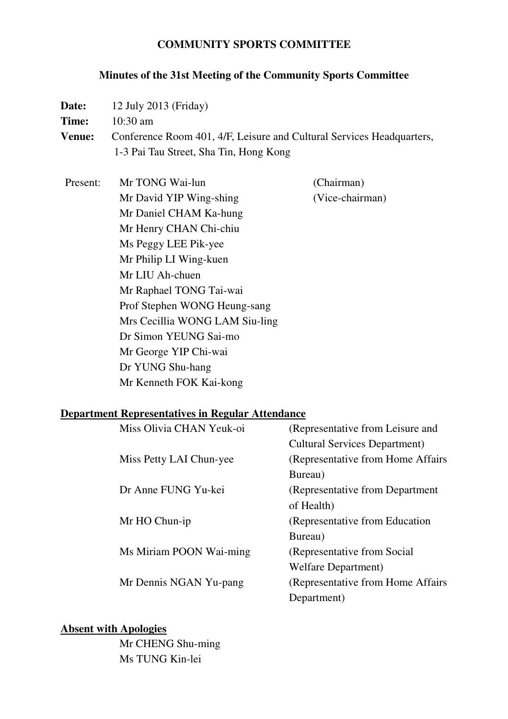### **COMMUNITY SPORTS COMMITTEE**

### **Minutes of the 31st Meeting of the Community Sports Committee**

**Date:** 12 July 2013 (Friday)

**Time:** 10:30 am

**Venue:** Conference Room 401, 4/F, Leisure and Cultural Services Headquarters, 1-3 Pai Tau Street, Sha Tin, Hong Kong

Present: Mr TONG Wai-lun (Chairman) Mr David YIP Wing-shing (Vice-chairman) Mr Daniel CHAM Ka-hung Mr Henry CHAN Chi-chiu Ms Peggy LEE Pik-yee Mr Philip LI Wing-kuen Mr LIU Ah-chuen Mr Raphael TONG Tai-wai Prof Stephen WONG Heung-sang Mrs Cecillia WONG LAM Siu-ling Dr Simon YEUNG Sai-mo Mr George YIP Chi-wai Dr YUNG Shu-hang Mr Kenneth FOK Kai-kong

### **Department Representatives in Regular Attendance**

| (Representative from Leisure and     |
|--------------------------------------|
| <b>Cultural Services Department)</b> |
| (Representative from Home Affairs    |
| Bureau)                              |
| (Representative from Department)     |
| of Health)                           |
| (Representative from Education)      |
| Bureau)                              |
| (Representative from Social)         |
| <b>Welfare Department</b> )          |
| (Representative from Home Affairs)   |
| Department)                          |
|                                      |

### **Absent with Apologies**

 Mr CHENG Shu-ming Ms TUNG Kin-lei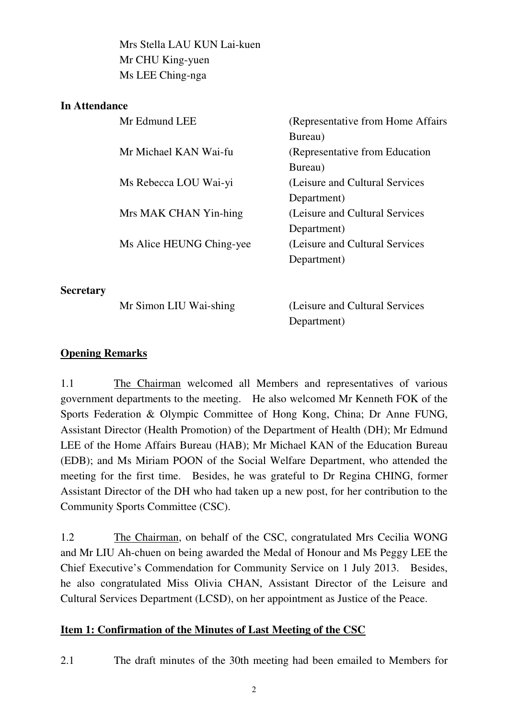Mrs Stella LAU KUN Lai-kuen Mr CHU King-yuen Ms LEE Ching-nga

### **In Attendance**

| Mr Edmund LEE            | (Representative from Home Affairs) |
|--------------------------|------------------------------------|
|                          | Bureau)                            |
| Mr Michael KAN Wai-fu    | (Representative from Education)    |
|                          | Bureau)                            |
| Ms Rebecca LOU Wai-yi    | (Leisure and Cultural Services     |
|                          | Department)                        |
| Mrs MAK CHAN Yin-hing    | (Leisure and Cultural Services)    |
|                          | Department)                        |
| Ms Alice HEUNG Ching-yee | (Leisure and Cultural Services)    |
|                          | Department)                        |
|                          |                                    |

**Secretary** 

Mr Simon LIU Wai-shing (Leisure and Cultural Services Department)

## **Opening Remarks**

1.1 The Chairman welcomed all Members and representatives of various government departments to the meeting. He also welcomed Mr Kenneth FOK of the Sports Federation & Olympic Committee of Hong Kong, China; Dr Anne FUNG, Assistant Director (Health Promotion) of the Department of Health (DH); Mr Edmund LEE of the Home Affairs Bureau (HAB); Mr Michael KAN of the Education Bureau (EDB); and Ms Miriam POON of the Social Welfare Department, who attended the meeting for the first time. Besides, he was grateful to Dr Regina CHING, former Assistant Director of the DH who had taken up a new post, for her contribution to the Community Sports Committee (CSC).

1.2 The Chairman, on behalf of the CSC, congratulated Mrs Cecilia WONG and Mr LIU Ah-chuen on being awarded the Medal of Honour and Ms Peggy LEE the Chief Executive's Commendation for Community Service on 1 July 2013. Besides, he also congratulated Miss Olivia CHAN, Assistant Director of the Leisure and Cultural Services Department (LCSD), on her appointment as Justice of the Peace.

### **Item 1: Confirmation of the Minutes of Last Meeting of the CSC**

2.1 The draft minutes of the 30th meeting had been emailed to Members for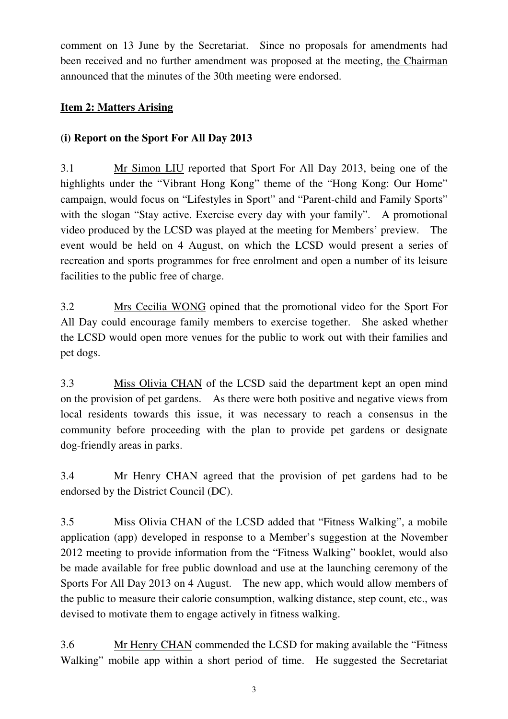comment on 13 June by the Secretariat. Since no proposals for amendments had been received and no further amendment was proposed at the meeting, the Chairman announced that the minutes of the 30th meeting were endorsed.

## **Item 2: Matters Arising**

## **(i) Report on the Sport For All Day 2013**

3.1 Mr Simon LIU reported that Sport For All Day 2013, being one of the highlights under the "Vibrant Hong Kong" theme of the "Hong Kong: Our Home" campaign, would focus on "Lifestyles in Sport" and "Parent-child and Family Sports" with the slogan "Stay active. Exercise every day with your family". A promotional video produced by the LCSD was played at the meeting for Members' preview. The event would be held on 4 August, on which the LCSD would present a series of recreation and sports programmes for free enrolment and open a number of its leisure facilities to the public free of charge.

3.2 Mrs Cecilia WONG opined that the promotional video for the Sport For All Day could encourage family members to exercise together. She asked whether the LCSD would open more venues for the public to work out with their families and pet dogs.

3.3 Miss Olivia CHAN of the LCSD said the department kept an open mind on the provision of pet gardens. As there were both positive and negative views from local residents towards this issue, it was necessary to reach a consensus in the community before proceeding with the plan to provide pet gardens or designate dog-friendly areas in parks.

3.4 Mr Henry CHAN agreed that the provision of pet gardens had to be endorsed by the District Council (DC).

3.5 Miss Olivia CHAN of the LCSD added that "Fitness Walking", a mobile application (app) developed in response to a Member's suggestion at the November 2012 meeting to provide information from the "Fitness Walking" booklet, would also be made available for free public download and use at the launching ceremony of the Sports For All Day 2013 on 4 August. The new app, which would allow members of the public to measure their calorie consumption, walking distance, step count, etc., was devised to motivate them to engage actively in fitness walking.

3.6 Mr Henry CHAN commended the LCSD for making available the "Fitness Walking" mobile app within a short period of time. He suggested the Secretariat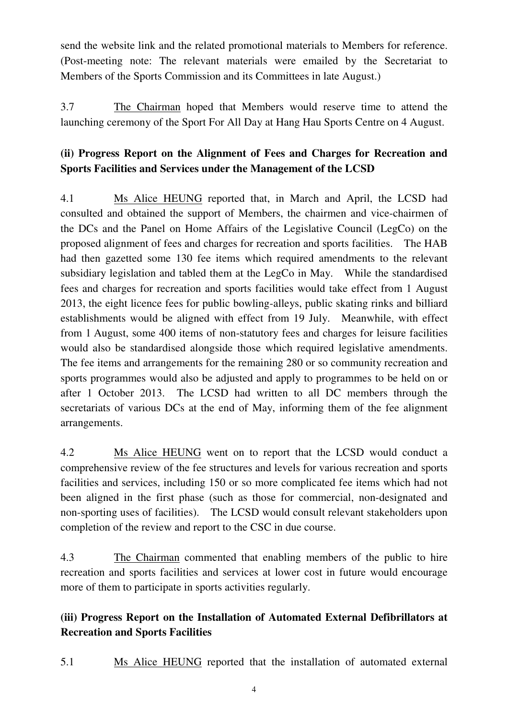send the website link and the related promotional materials to Members for reference. (Post-meeting note: The relevant materials were emailed by the Secretariat to Members of the Sports Commission and its Committees in late August.)

3.7 The Chairman hoped that Members would reserve time to attend the launching ceremony of the Sport For All Day at Hang Hau Sports Centre on 4 August.

# **(ii) Progress Report on the Alignment of Fees and Charges for Recreation and Sports Facilities and Services under the Management of the LCSD**

4.1 Ms Alice HEUNG reported that, in March and April, the LCSD had consulted and obtained the support of Members, the chairmen and vice-chairmen of the DCs and the Panel on Home Affairs of the Legislative Council (LegCo) on the proposed alignment of fees and charges for recreation and sports facilities. The HAB had then gazetted some 130 fee items which required amendments to the relevant subsidiary legislation and tabled them at the LegCo in May. While the standardised fees and charges for recreation and sports facilities would take effect from 1 August 2013, the eight licence fees for public bowling-alleys, public skating rinks and billiard establishments would be aligned with effect from 19 July. Meanwhile, with effect from 1 August, some 400 items of non-statutory fees and charges for leisure facilities would also be standardised alongside those which required legislative amendments. The fee items and arrangements for the remaining 280 or so community recreation and sports programmes would also be adjusted and apply to programmes to be held on or after 1 October 2013. The LCSD had written to all DC members through the secretariats of various DCs at the end of May, informing them of the fee alignment arrangements.

4.2 Ms Alice HEUNG went on to report that the LCSD would conduct a comprehensive review of the fee structures and levels for various recreation and sports facilities and services, including 150 or so more complicated fee items which had not been aligned in the first phase (such as those for commercial, non-designated and non-sporting uses of facilities). The LCSD would consult relevant stakeholders upon completion of the review and report to the CSC in due course.

4.3 The Chairman commented that enabling members of the public to hire recreation and sports facilities and services at lower cost in future would encourage more of them to participate in sports activities regularly.

# **(iii) Progress Report on the Installation of Automated External Defibrillators at Recreation and Sports Facilities**

5.1 Ms Alice HEUNG reported that the installation of automated external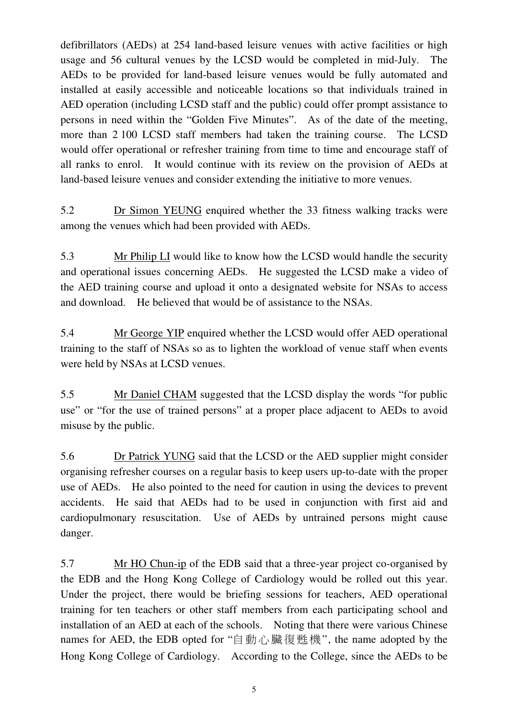defibrillators (AEDs) at 254 land-based leisure venues with active facilities or high usage and 56 cultural venues by the LCSD would be completed in mid-July. The AEDs to be provided for land-based leisure venues would be fully automated and installed at easily accessible and noticeable locations so that individuals trained in AED operation (including LCSD staff and the public) could offer prompt assistance to persons in need within the "Golden Five Minutes". As of the date of the meeting, more than 2 100 LCSD staff members had taken the training course. The LCSD would offer operational or refresher training from time to time and encourage staff of all ranks to enrol. It would continue with its review on the provision of AEDs at land-based leisure venues and consider extending the initiative to more venues.

5.2 Dr Simon YEUNG enquired whether the 33 fitness walking tracks were among the venues which had been provided with AEDs.

5.3 Mr Philip LI would like to know how the LCSD would handle the security and operational issues concerning AEDs. He suggested the LCSD make a video of the AED training course and upload it onto a designated website for NSAs to access and download. He believed that would be of assistance to the NSAs.

5.4 Mr George YIP enquired whether the LCSD would offer AED operational training to the staff of NSAs so as to lighten the workload of venue staff when events were held by NSAs at LCSD venues.

5.5 Mr Daniel CHAM suggested that the LCSD display the words "for public use" or "for the use of trained persons" at a proper place adjacent to AEDs to avoid misuse by the public.

5.6 Dr Patrick YUNG said that the LCSD or the AED supplier might consider organising refresher courses on a regular basis to keep users up-to-date with the proper use of AEDs. He also pointed to the need for caution in using the devices to prevent accidents. He said that AEDs had to be used in conjunction with first aid and cardiopulmonary resuscitation. Use of AEDs by untrained persons might cause danger.

5.7 Mr HO Chun-ip of the EDB said that a three-year project co-organised by the EDB and the Hong Kong College of Cardiology would be rolled out this year. Under the project, there would be briefing sessions for teachers, AED operational training for ten teachers or other staff members from each participating school and installation of an AED at each of the schools. Noting that there were various Chinese names for AED, the EDB opted for "自動心臟復甦機", the name adopted by the Hong Kong College of Cardiology. According to the College, since the AEDs to be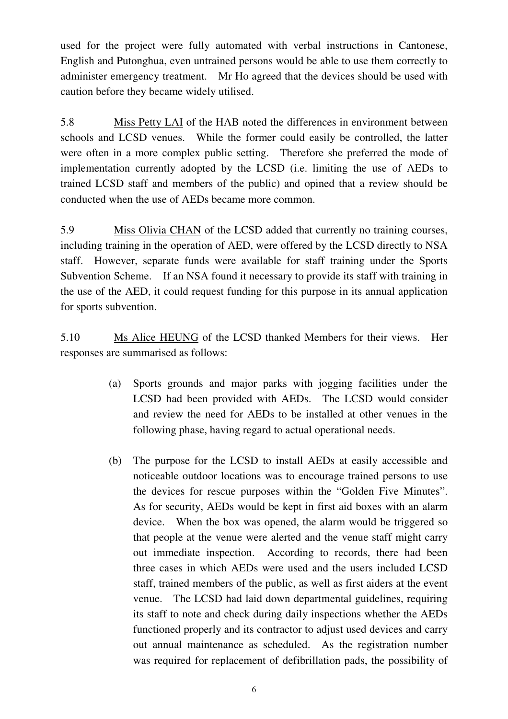used for the project were fully automated with verbal instructions in Cantonese, English and Putonghua, even untrained persons would be able to use them correctly to administer emergency treatment. Mr Ho agreed that the devices should be used with caution before they became widely utilised.

5.8 Miss Petty LAI of the HAB noted the differences in environment between schools and LCSD venues. While the former could easily be controlled, the latter were often in a more complex public setting. Therefore she preferred the mode of implementation currently adopted by the LCSD (i.e. limiting the use of AEDs to trained LCSD staff and members of the public) and opined that a review should be conducted when the use of AEDs became more common.

5.9 Miss Olivia CHAN of the LCSD added that currently no training courses, including training in the operation of AED, were offered by the LCSD directly to NSA staff. However, separate funds were available for staff training under the Sports Subvention Scheme. If an NSA found it necessary to provide its staff with training in the use of the AED, it could request funding for this purpose in its annual application for sports subvention.

5.10 Ms Alice HEUNG of the LCSD thanked Members for their views. Her responses are summarised as follows:

- (a) Sports grounds and major parks with jogging facilities under the LCSD had been provided with AEDs. The LCSD would consider and review the need for AEDs to be installed at other venues in the following phase, having regard to actual operational needs.
- (b) The purpose for the LCSD to install AEDs at easily accessible and noticeable outdoor locations was to encourage trained persons to use the devices for rescue purposes within the "Golden Five Minutes". As for security, AEDs would be kept in first aid boxes with an alarm device. When the box was opened, the alarm would be triggered so that people at the venue were alerted and the venue staff might carry out immediate inspection. According to records, there had been three cases in which AEDs were used and the users included LCSD staff, trained members of the public, as well as first aiders at the event venue. The LCSD had laid down departmental guidelines, requiring its staff to note and check during daily inspections whether the AEDs functioned properly and its contractor to adjust used devices and carry out annual maintenance as scheduled. As the registration number was required for replacement of defibrillation pads, the possibility of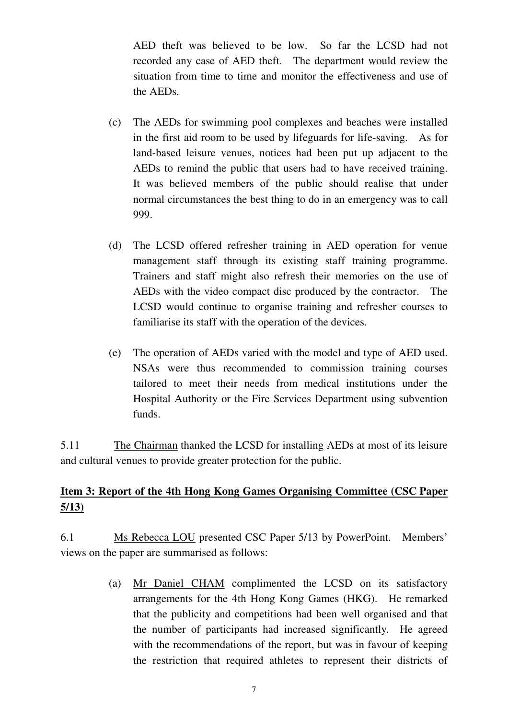AED theft was believed to be low. So far the LCSD had not recorded any case of AED theft. The department would review the situation from time to time and monitor the effectiveness and use of the AEDs.

- (c) The AEDs for swimming pool complexes and beaches were installed in the first aid room to be used by lifeguards for life-saving. As for land-based leisure venues, notices had been put up adjacent to the AEDs to remind the public that users had to have received training. It was believed members of the public should realise that under normal circumstances the best thing to do in an emergency was to call 999.
- (d) The LCSD offered refresher training in AED operation for venue management staff through its existing staff training programme. Trainers and staff might also refresh their memories on the use of AEDs with the video compact disc produced by the contractor. The LCSD would continue to organise training and refresher courses to familiarise its staff with the operation of the devices.
- (e) The operation of AEDs varied with the model and type of AED used. NSAs were thus recommended to commission training courses tailored to meet their needs from medical institutions under the Hospital Authority or the Fire Services Department using subvention funds.

5.11 The Chairman thanked the LCSD for installing AEDs at most of its leisure and cultural venues to provide greater protection for the public.

# **Item 3: Report of the 4th Hong Kong Games Organising Committee (CSC Paper 5/13)**

6.1 Ms Rebecca LOU presented CSC Paper 5/13 by PowerPoint. Members' views on the paper are summarised as follows:

> (a) Mr Daniel CHAM complimented the LCSD on its satisfactory arrangements for the 4th Hong Kong Games (HKG). He remarked that the publicity and competitions had been well organised and that the number of participants had increased significantly. He agreed with the recommendations of the report, but was in favour of keeping the restriction that required athletes to represent their districts of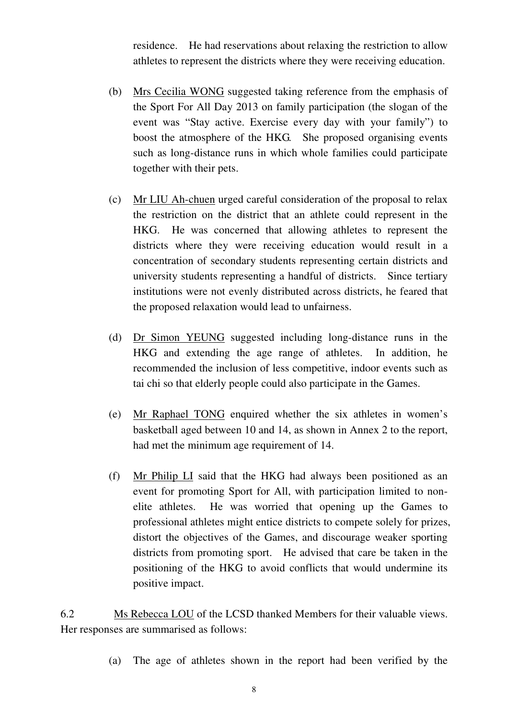residence. He had reservations about relaxing the restriction to allow athletes to represent the districts where they were receiving education.

- (b) Mrs Cecilia WONG suggested taking reference from the emphasis of the Sport For All Day 2013 on family participation (the slogan of the event was "Stay active. Exercise every day with your family") to boost the atmosphere of the HKG. She proposed organising events such as long-distance runs in which whole families could participate together with their pets.
- (c) Mr LIU Ah-chuen urged careful consideration of the proposal to relax the restriction on the district that an athlete could represent in the HKG. He was concerned that allowing athletes to represent the districts where they were receiving education would result in a concentration of secondary students representing certain districts and university students representing a handful of districts. Since tertiary institutions were not evenly distributed across districts, he feared that the proposed relaxation would lead to unfairness.
- (d) Dr Simon YEUNG suggested including long-distance runs in the HKG and extending the age range of athletes. In addition, he recommended the inclusion of less competitive, indoor events such as tai chi so that elderly people could also participate in the Games.
- (e) Mr Raphael TONG enquired whether the six athletes in women's basketball aged between 10 and 14, as shown in Annex 2 to the report, had met the minimum age requirement of 14.
- (f) Mr Philip LI said that the HKG had always been positioned as an event for promoting Sport for All, with participation limited to nonelite athletes. He was worried that opening up the Games to professional athletes might entice districts to compete solely for prizes, distort the objectives of the Games, and discourage weaker sporting districts from promoting sport. He advised that care be taken in the positioning of the HKG to avoid conflicts that would undermine its positive impact.

6.2 Ms Rebecca LOU of the LCSD thanked Members for their valuable views. Her responses are summarised as follows:

(a) The age of athletes shown in the report had been verified by the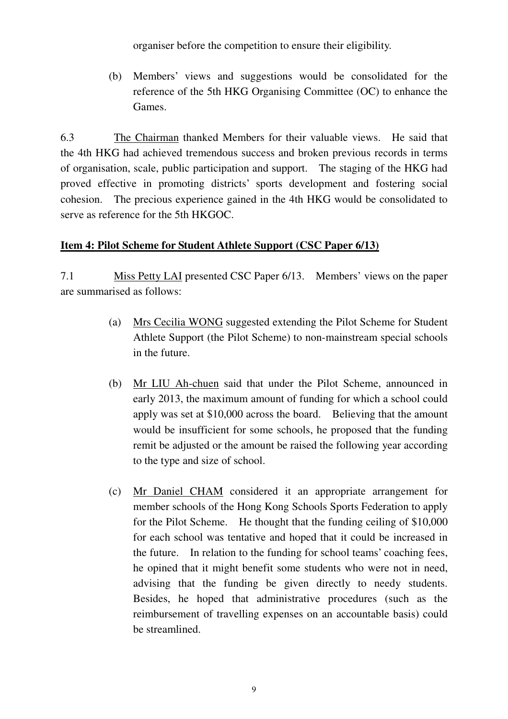organiser before the competition to ensure their eligibility.

(b) Members' views and suggestions would be consolidated for the reference of the 5th HKG Organising Committee (OC) to enhance the Games.

6.3 The Chairman thanked Members for their valuable views. He said that the 4th HKG had achieved tremendous success and broken previous records in terms of organisation, scale, public participation and support. The staging of the HKG had proved effective in promoting districts' sports development and fostering social cohesion. The precious experience gained in the 4th HKG would be consolidated to serve as reference for the 5th HKGOC.

## **Item 4: Pilot Scheme for Student Athlete Support (CSC Paper 6/13)**

7.1 Miss Petty LAI presented CSC Paper 6/13. Members' views on the paper are summarised as follows:

- (a) Mrs Cecilia WONG suggested extending the Pilot Scheme for Student Athlete Support (the Pilot Scheme) to non-mainstream special schools in the future.
- (b) Mr LIU Ah-chuen said that under the Pilot Scheme, announced in early 2013, the maximum amount of funding for which a school could apply was set at \$10,000 across the board. Believing that the amount would be insufficient for some schools, he proposed that the funding remit be adjusted or the amount be raised the following year according to the type and size of school.
- (c) Mr Daniel CHAM considered it an appropriate arrangement for member schools of the Hong Kong Schools Sports Federation to apply for the Pilot Scheme. He thought that the funding ceiling of \$10,000 for each school was tentative and hoped that it could be increased in the future. In relation to the funding for school teams' coaching fees, he opined that it might benefit some students who were not in need, advising that the funding be given directly to needy students. Besides, he hoped that administrative procedures (such as the reimbursement of travelling expenses on an accountable basis) could be streamlined.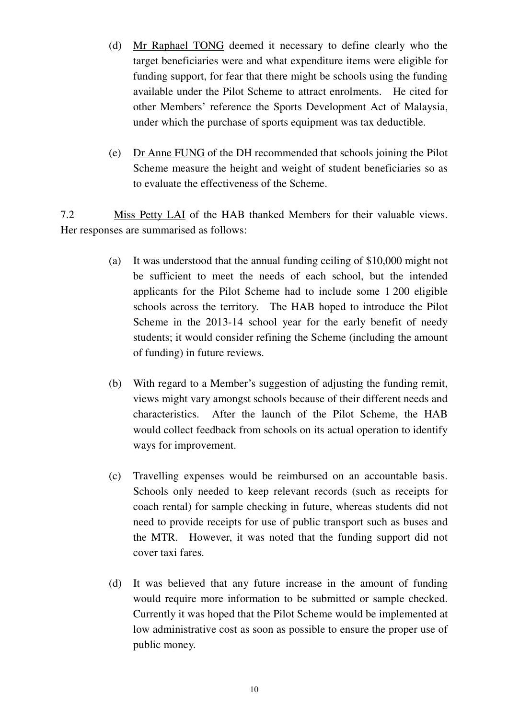- (d) Mr Raphael TONG deemed it necessary to define clearly who the target beneficiaries were and what expenditure items were eligible for funding support, for fear that there might be schools using the funding available under the Pilot Scheme to attract enrolments. He cited for other Members' reference the Sports Development Act of Malaysia, under which the purchase of sports equipment was tax deductible.
- (e) Dr Anne FUNG of the DH recommended that schools joining the Pilot Scheme measure the height and weight of student beneficiaries so as to evaluate the effectiveness of the Scheme.

7.2 Miss Petty LAI of the HAB thanked Members for their valuable views. Her responses are summarised as follows:

- (a) It was understood that the annual funding ceiling of \$10,000 might not be sufficient to meet the needs of each school, but the intended applicants for the Pilot Scheme had to include some 1 200 eligible schools across the territory. The HAB hoped to introduce the Pilot Scheme in the 2013-14 school year for the early benefit of needy students; it would consider refining the Scheme (including the amount of funding) in future reviews.
- (b) With regard to a Member's suggestion of adjusting the funding remit, views might vary amongst schools because of their different needs and characteristics. After the launch of the Pilot Scheme, the HAB would collect feedback from schools on its actual operation to identify ways for improvement.
- (c) Travelling expenses would be reimbursed on an accountable basis. Schools only needed to keep relevant records (such as receipts for coach rental) for sample checking in future, whereas students did not need to provide receipts for use of public transport such as buses and the MTR. However, it was noted that the funding support did not cover taxi fares.
- (d) It was believed that any future increase in the amount of funding would require more information to be submitted or sample checked. Currently it was hoped that the Pilot Scheme would be implemented at low administrative cost as soon as possible to ensure the proper use of public money.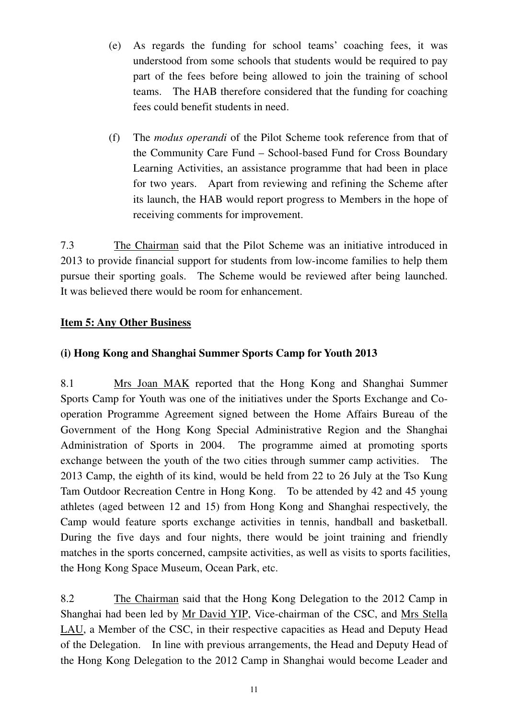- (e) As regards the funding for school teams' coaching fees, it was understood from some schools that students would be required to pay part of the fees before being allowed to join the training of school teams. The HAB therefore considered that the funding for coaching fees could benefit students in need.
- (f) The *modus operandi* of the Pilot Scheme took reference from that of the Community Care Fund – School-based Fund for Cross Boundary Learning Activities, an assistance programme that had been in place for two years. Apart from reviewing and refining the Scheme after its launch, the HAB would report progress to Members in the hope of receiving comments for improvement.

7.3 The Chairman said that the Pilot Scheme was an initiative introduced in 2013 to provide financial support for students from low-income families to help them pursue their sporting goals. The Scheme would be reviewed after being launched. It was believed there would be room for enhancement.

## **Item 5: Any Other Business**

## **(i) Hong Kong and Shanghai Summer Sports Camp for Youth 2013**

8.1 Mrs Joan MAK reported that the Hong Kong and Shanghai Summer Sports Camp for Youth was one of the initiatives under the Sports Exchange and Cooperation Programme Agreement signed between the Home Affairs Bureau of the Government of the Hong Kong Special Administrative Region and the Shanghai Administration of Sports in 2004. The programme aimed at promoting sports exchange between the youth of the two cities through summer camp activities. The 2013 Camp, the eighth of its kind, would be held from 22 to 26 July at the Tso Kung Tam Outdoor Recreation Centre in Hong Kong. To be attended by 42 and 45 young athletes (aged between 12 and 15) from Hong Kong and Shanghai respectively, the Camp would feature sports exchange activities in tennis, handball and basketball. During the five days and four nights, there would be joint training and friendly matches in the sports concerned, campsite activities, as well as visits to sports facilities, the Hong Kong Space Museum, Ocean Park, etc.

8.2 The Chairman said that the Hong Kong Delegation to the 2012 Camp in Shanghai had been led by Mr David YIP, Vice-chairman of the CSC, and Mrs Stella LAU, a Member of the CSC, in their respective capacities as Head and Deputy Head of the Delegation. In line with previous arrangements, the Head and Deputy Head of the Hong Kong Delegation to the 2012 Camp in Shanghai would become Leader and